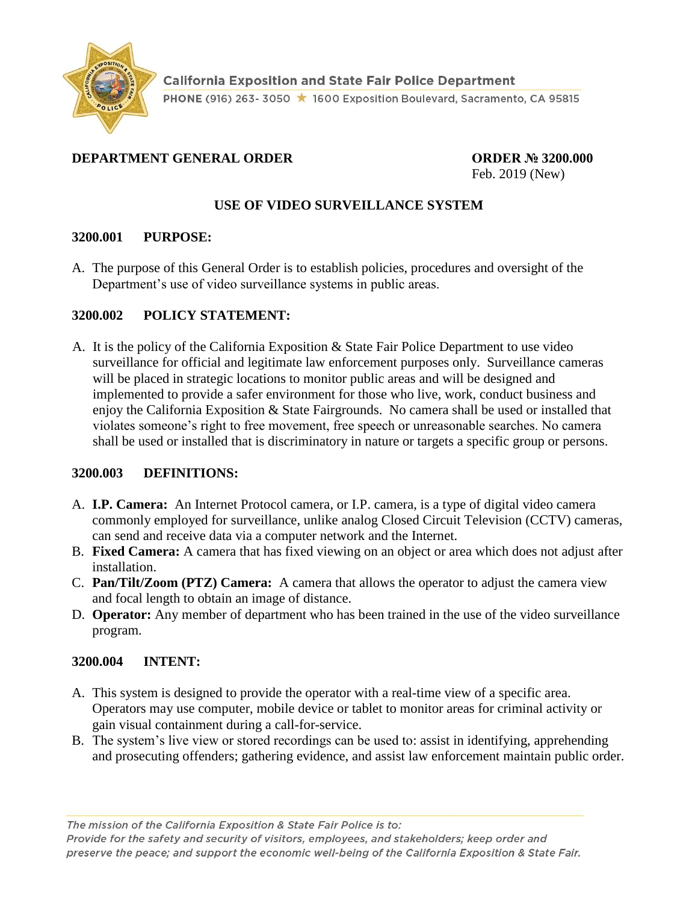

### **DEPARTMENT GENERAL ORDER ORDER № 3200.000**

Feb. 2019 (New)

### **USE OF VIDEO SURVEILLANCE SYSTEM**

#### **3200.001 PURPOSE:**

A. The purpose of this General Order is to establish policies, procedures and oversight of the Department's use of video surveillance systems in public areas.

#### **3200.002 POLICY STATEMENT:**

A. It is the policy of the California Exposition & State Fair Police Department to use video surveillance for official and legitimate law enforcement purposes only. Surveillance cameras will be placed in strategic locations to monitor public areas and will be designed and implemented to provide a safer environment for those who live, work, conduct business and enjoy the California Exposition & State Fairgrounds. No camera shall be used or installed that violates someone's right to free movement, free speech or unreasonable searches. No camera shall be used or installed that is discriminatory in nature or targets a specific group or persons.

### **3200.003 DEFINITIONS:**

- A. **I.P. Camera:** An Internet Protocol camera, or I.P. camera, is a type of digital video camera commonly employed for [surveillance,](https://en.wikipedia.org/wiki/Surveillance) unlike analog [Closed Circuit Television](https://en.wikipedia.org/wiki/Closed_circuit_television) (CCTV) cameras, can send and receive data via a computer network and the Internet.
- B. **Fixed Camera:** A camera that has fixed viewing on an object or area which does not adjust after installation.
- C. **Pan/Tilt/Zoom (PTZ) Camera:** A camera that allows the operator to adjust the camera view and focal length to obtain an image of distance.
- D. **Operator:** Any member of department who has been trained in the use of the video surveillance program.

### **3200.004 INTENT:**

- A. This system is designed to provide the operator with a real-time view of a specific area. Operators may use computer, mobile device or tablet to monitor areas for criminal activity or gain visual containment during a call-for-service.
- B. The system's live view or stored recordings can be used to: assist in identifying, apprehending and prosecuting offenders; gathering evidence, and assist law enforcement maintain public order.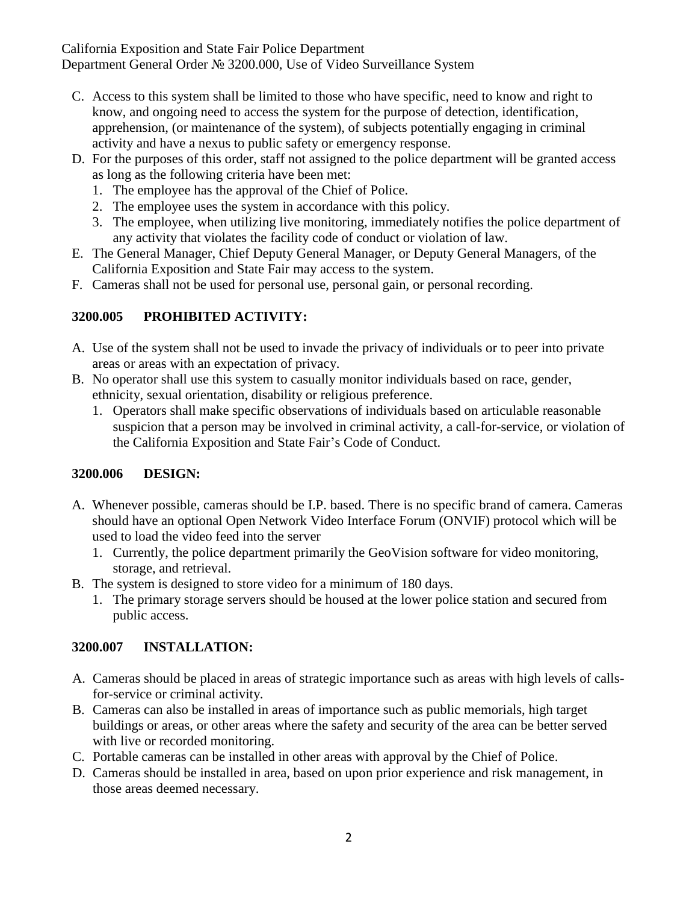California Exposition and State Fair Police Department Department General Order № 3200.000, Use of Video Surveillance System

- C. Access to this system shall be limited to those who have specific, need to know and right to know, and ongoing need to access the system for the purpose of detection, identification, apprehension, (or maintenance of the system), of subjects potentially engaging in criminal activity and have a nexus to public safety or emergency response.
- D. For the purposes of this order, staff not assigned to the police department will be granted access as long as the following criteria have been met:
	- 1. The employee has the approval of the Chief of Police.
	- 2. The employee uses the system in accordance with this policy.
	- 3. The employee, when utilizing live monitoring, immediately notifies the police department of any activity that violates the facility code of conduct or violation of law.
- E. The General Manager, Chief Deputy General Manager, or Deputy General Managers, of the California Exposition and State Fair may access to the system.
- F. Cameras shall not be used for personal use, personal gain, or personal recording.

# **3200.005 PROHIBITED ACTIVITY:**

- A. Use of the system shall not be used to invade the privacy of individuals or to peer into private areas or areas with an expectation of privacy.
- B. No operator shall use this system to casually monitor individuals based on race, gender, ethnicity, sexual orientation, disability or religious preference.
	- 1. Operators shall make specific observations of individuals based on articulable reasonable suspicion that a person may be involved in criminal activity, a call-for-service, or violation of the California Exposition and State Fair's Code of Conduct.

# **3200.006 DESIGN:**

- A. Whenever possible, cameras should be I.P. based. There is no specific brand of camera. Cameras should have an optional Open Network Video Interface Forum (ONVIF) protocol which will be used to load the video feed into the server
	- 1. Currently, the police department primarily the GeoVision software for video monitoring, storage, and retrieval.
- B. The system is designed to store video for a minimum of 180 days.
	- 1. The primary storage servers should be housed at the lower police station and secured from public access.

# **3200.007 INSTALLATION:**

- A. Cameras should be placed in areas of strategic importance such as areas with high levels of callsfor-service or criminal activity.
- B. Cameras can also be installed in areas of importance such as public memorials, high target buildings or areas, or other areas where the safety and security of the area can be better served with live or recorded monitoring.
- C. Portable cameras can be installed in other areas with approval by the Chief of Police.
- D. Cameras should be installed in area, based on upon prior experience and risk management, in those areas deemed necessary.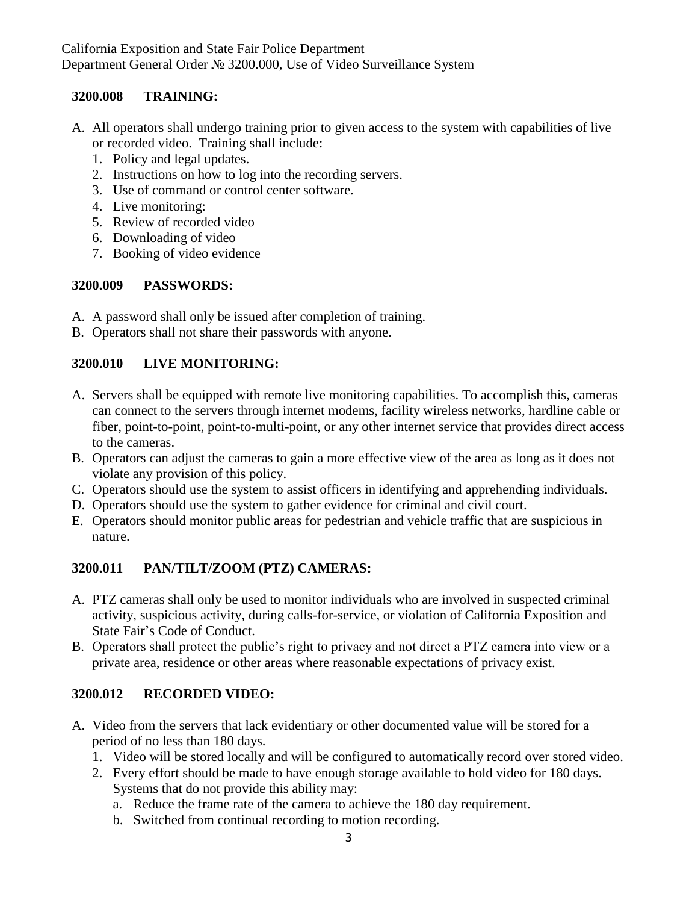### **3200.008 TRAINING:**

- A. All operators shall undergo training prior to given access to the system with capabilities of live or recorded video. Training shall include:
	- 1. Policy and legal updates.
	- 2. Instructions on how to log into the recording servers.
	- 3. Use of command or control center software.
	- 4. Live monitoring:
	- 5. Review of recorded video
	- 6. Downloading of video
	- 7. Booking of video evidence

### **3200.009 PASSWORDS:**

- A. A password shall only be issued after completion of training.
- B. Operators shall not share their passwords with anyone.

## **3200.010 LIVE MONITORING:**

- A. Servers shall be equipped with remote live monitoring capabilities. To accomplish this, cameras can connect to the servers through internet modems, facility wireless networks, hardline cable or fiber, point-to-point, point-to-multi-point, or any other internet service that provides direct access to the cameras.
- B. Operators can adjust the cameras to gain a more effective view of the area as long as it does not violate any provision of this policy.
- C. Operators should use the system to assist officers in identifying and apprehending individuals.
- D. Operators should use the system to gather evidence for criminal and civil court.
- E. Operators should monitor public areas for pedestrian and vehicle traffic that are suspicious in nature.

## **3200.011 PAN/TILT/ZOOM (PTZ) CAMERAS:**

- A. PTZ cameras shall only be used to monitor individuals who are involved in suspected criminal activity, suspicious activity, during calls-for-service, or violation of California Exposition and State Fair's Code of Conduct.
- B. Operators shall protect the public's right to privacy and not direct a PTZ camera into view or a private area, residence or other areas where reasonable expectations of privacy exist.

## **3200.012 RECORDED VIDEO:**

- A. Video from the servers that lack evidentiary or other documented value will be stored for a period of no less than 180 days.
	- 1. Video will be stored locally and will be configured to automatically record over stored video.
	- 2. Every effort should be made to have enough storage available to hold video for 180 days. Systems that do not provide this ability may:
		- a. Reduce the frame rate of the camera to achieve the 180 day requirement.
		- b. Switched from continual recording to motion recording.